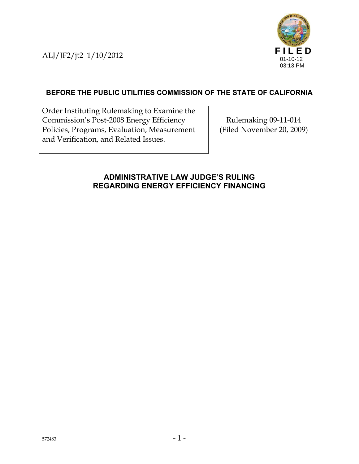ALJ/JF2/jt2 1/10/2012



## **BEFORE THE PUBLIC UTILITIES COMMISSION OF THE STATE OF CALIFORNIA**

Order Instituting Rulemaking to Examine the Commission's Post-2008 Energy Efficiency Policies, Programs, Evaluation, Measurement and Verification, and Related Issues.

Rulemaking 09-11-014 (Filed November 20, 2009)

### **ADMINISTRATIVE LAW JUDGE'S RULING REGARDING ENERGY EFFICIENCY FINANCING**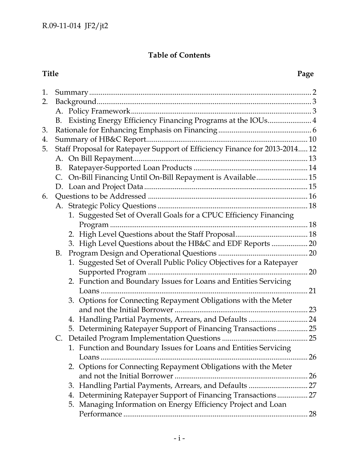# **Table of Contents**

## **Title Page**

| 1. |    |                                                                             |    |
|----|----|-----------------------------------------------------------------------------|----|
| 2. |    |                                                                             |    |
|    |    |                                                                             |    |
|    |    | B. Existing Energy Efficiency Financing Programs at the IOUs 4              |    |
| 3. |    |                                                                             |    |
| 4. |    |                                                                             |    |
| 5. |    | Staff Proposal for Ratepayer Support of Efficiency Finance for 2013-2014 12 |    |
|    |    |                                                                             |    |
|    | B. |                                                                             |    |
|    |    | C. On-Bill Financing Until On-Bill Repayment is Available 15                |    |
|    |    |                                                                             |    |
| 6. |    |                                                                             |    |
|    |    |                                                                             |    |
|    |    | 1. Suggested Set of Overall Goals for a CPUC Efficiency Financing           |    |
|    |    |                                                                             |    |
|    |    |                                                                             |    |
|    |    | 3. High Level Questions about the HB&C and EDF Reports  20                  |    |
|    | B. |                                                                             |    |
|    |    | 1. Suggested Set of Overall Public Policy Objectives for a Ratepayer        |    |
|    |    |                                                                             | 20 |
|    |    | 2. Function and Boundary Issues for Loans and Entities Servicing            |    |
|    |    |                                                                             | 21 |
|    |    | 3. Options for Connecting Repayment Obligations with the Meter              |    |
|    |    |                                                                             |    |
|    |    | 4. Handling Partial Payments, Arrears, and Defaults  24                     |    |
|    |    | 5. Determining Ratepayer Support of Financing Transactions 25               |    |
|    |    |                                                                             |    |
|    |    | 1. Function and Boundary Issues for Loans and Entities Servicing            |    |
|    |    |                                                                             |    |
|    |    | 2. Options for Connecting Repayment Obligations with the Meter              |    |
|    |    |                                                                             |    |
|    |    | 3. Handling Partial Payments, Arrears, and Defaults  27                     |    |
|    |    | 4. Determining Ratepayer Support of Financing Transactions 27               |    |
|    |    | 5. Managing Information on Energy Efficiency Project and Loan               |    |
|    |    |                                                                             |    |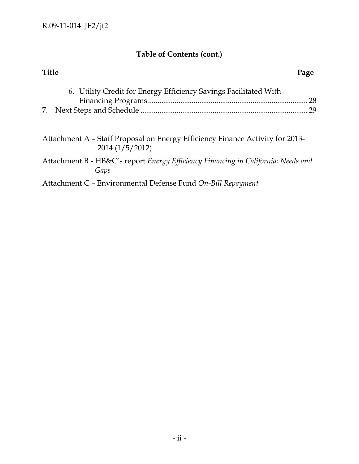# **Table of Contents (cont.)**

| <b>Title</b>                                                                                    |          |
|-------------------------------------------------------------------------------------------------|----------|
| 6. Utility Credit for Energy Efficiency Savings Facilitated With                                | 28<br>29 |
| Attachment A – Staff Proposal on Energy Efficiency Finance Activity for 2013-<br>2014(1/5/2012) |          |
| Attachment B - HB&C's report Energy Efficiency Financing in California: Needs and<br>Gaps       |          |
| Attachment C - Environmental Defense Fund On-Bill Repayment                                     |          |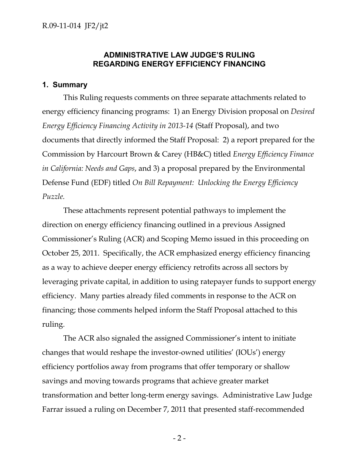### **ADMINISTRATIVE LAW JUDGE'S RULING REGARDING ENERGY EFFICIENCY FINANCING**

### **1. Summary**

This Ruling requests comments on three separate attachments related to energy efficiency financing programs: 1) an Energy Division proposal on *Desired Energy Efficiency Financing Activity in 2013-14* (Staff Proposal), and two documents that directly informed the Staff Proposal: 2) a report prepared for the Commission by Harcourt Brown & Carey (HB&C) titled *Energy Efficiency Finance in California: Needs and Gaps*, and 3) a proposal prepared by the Environmental Defense Fund (EDF) titled *On Bill Repayment: Unlocking the Energy Efficiency Puzzle.*

These attachments represent potential pathways to implement the direction on energy efficiency financing outlined in a previous Assigned Commissioner's Ruling (ACR) and Scoping Memo issued in this proceeding on October 25, 2011. Specifically, the ACR emphasized energy efficiency financing as a way to achieve deeper energy efficiency retrofits across all sectors by leveraging private capital, in addition to using ratepayer funds to support energy efficiency. Many parties already filed comments in response to the ACR on financing; those comments helped inform the Staff Proposal attached to this ruling.

The ACR also signaled the assigned Commissioner's intent to initiate changes that would reshape the investor-owned utilities' (IOUs') energy efficiency portfolios away from programs that offer temporary or shallow savings and moving towards programs that achieve greater market transformation and better long-term energy savings. Administrative Law Judge Farrar issued a ruling on December 7, 2011 that presented staff-recommended

 $-2-$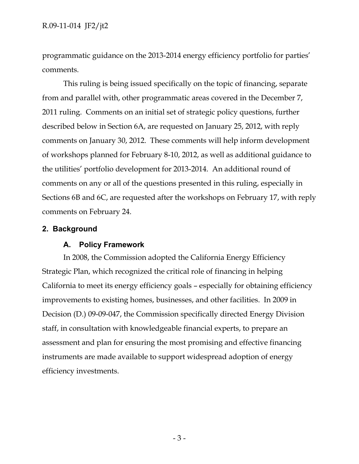programmatic guidance on the 2013-2014 energy efficiency portfolio for parties' comments.

This ruling is being issued specifically on the topic of financing, separate from and parallel with, other programmatic areas covered in the December 7, 2011 ruling. Comments on an initial set of strategic policy questions, further described below in Section 6A, are requested on January 25, 2012, with reply comments on January 30, 2012. These comments will help inform development of workshops planned for February 8-10, 2012, as well as additional guidance to the utilities' portfolio development for 2013-2014. An additional round of comments on any or all of the questions presented in this ruling, especially in Sections 6B and 6C, are requested after the workshops on February 17, with reply comments on February 24.

### **2. Background**

### **A. Policy Framework**

In 2008, the Commission adopted the California Energy Efficiency Strategic Plan, which recognized the critical role of financing in helping California to meet its energy efficiency goals – especially for obtaining efficiency improvements to existing homes, businesses, and other facilities. In 2009 in Decision (D.) 09-09-047, the Commission specifically directed Energy Division staff, in consultation with knowledgeable financial experts, to prepare an assessment and plan for ensuring the most promising and effective financing instruments are made available to support widespread adoption of energy efficiency investments.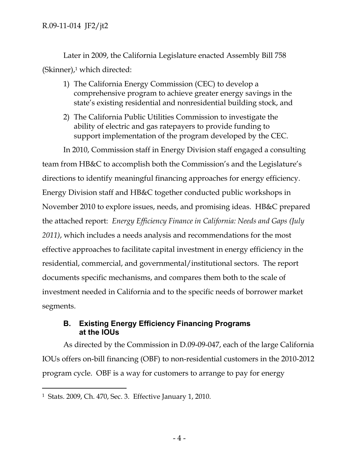Later in 2009, the California Legislature enacted Assembly Bill 758  $(Skinner)$ ,<sup>1</sup> which directed:

- 1) The California Energy Commission (CEC) to develop a comprehensive program to achieve greater energy savings in the state's existing residential and nonresidential building stock, and
- 2) The California Public Utilities Commission to investigate the ability of electric and gas ratepayers to provide funding to support implementation of the program developed by the CEC.

In 2010, Commission staff in Energy Division staff engaged a consulting team from HB&C to accomplish both the Commission's and the Legislature's directions to identify meaningful financing approaches for energy efficiency. Energy Division staff and HB&C together conducted public workshops in November 2010 to explore issues, needs, and promising ideas. HB&C prepared the attached report: *Energy Efficiency Finance in California: Needs and Gaps (July 2011)*, which includes a needs analysis and recommendations for the most effective approaches to facilitate capital investment in energy efficiency in the residential, commercial, and governmental/institutional sectors. The report documents specific mechanisms, and compares them both to the scale of investment needed in California and to the specific needs of borrower market segments.

### **B. Existing Energy Efficiency Financing Programs at the IOUs**

As directed by the Commission in D.09-09-047, each of the large California IOUs offers on-bill financing (OBF) to non-residential customers in the 2010-2012 program cycle. OBF is a way for customers to arrange to pay for energy

 $\overline{a}$ 

<sup>1</sup> Stats. 2009, Ch. 470, Sec. 3. Effective January 1, 2010.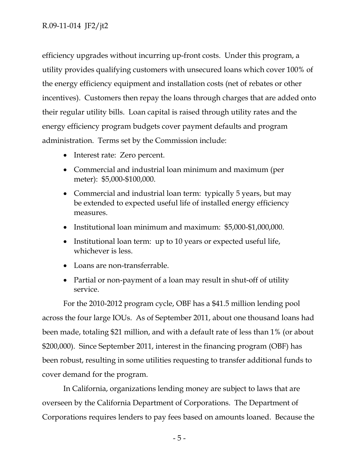efficiency upgrades without incurring up-front costs. Under this program, a utility provides qualifying customers with unsecured loans which cover 100% of the energy efficiency equipment and installation costs (net of rebates or other incentives). Customers then repay the loans through charges that are added onto their regular utility bills. Loan capital is raised through utility rates and the energy efficiency program budgets cover payment defaults and program administration. Terms set by the Commission include:

- Interest rate: Zero percent.
- Commercial and industrial loan minimum and maximum (per meter): \$5,000-\$100,000.
- Commercial and industrial loan term: typically 5 years, but may be extended to expected useful life of installed energy efficiency measures.
- Institutional loan minimum and maximum: \$5,000-\$1,000,000.
- Institutional loan term: up to 10 years or expected useful life, whichever is less.
- Loans are non-transferrable.
- Partial or non-payment of a loan may result in shut-off of utility service.

For the 2010-2012 program cycle, OBF has a \$41.5 million lending pool across the four large IOUs. As of September 2011, about one thousand loans had been made, totaling \$21 million, and with a default rate of less than 1% (or about \$200,000). Since September 2011, interest in the financing program (OBF) has been robust, resulting in some utilities requesting to transfer additional funds to cover demand for the program.

In California, organizations lending money are subject to laws that are overseen by the California Department of Corporations. The Department of Corporations requires lenders to pay fees based on amounts loaned. Because the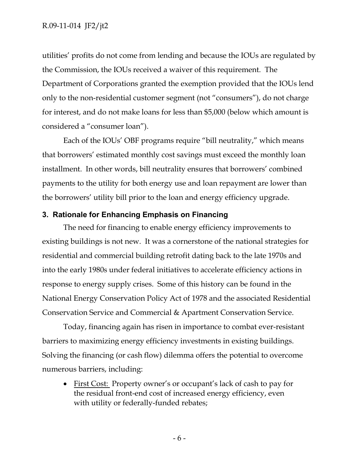utilities' profits do not come from lending and because the IOUs are regulated by the Commission, the IOUs received a waiver of this requirement. The Department of Corporations granted the exemption provided that the IOUs lend only to the non-residential customer segment (not "consumers"), do not charge for interest, and do not make loans for less than \$5,000 (below which amount is considered a "consumer loan").

Each of the IOUs' OBF programs require "bill neutrality," which means that borrowers' estimated monthly cost savings must exceed the monthly loan installment. In other words, bill neutrality ensures that borrowers' combined payments to the utility for both energy use and loan repayment are lower than the borrowers' utility bill prior to the loan and energy efficiency upgrade.

### **3. Rationale for Enhancing Emphasis on Financing**

The need for financing to enable energy efficiency improvements to existing buildings is not new. It was a cornerstone of the national strategies for residential and commercial building retrofit dating back to the late 1970s and into the early 1980s under federal initiatives to accelerate efficiency actions in response to energy supply crises. Some of this history can be found in the National Energy Conservation Policy Act of 1978 and the associated Residential Conservation Service and Commercial & Apartment Conservation Service.

Today, financing again has risen in importance to combat ever-resistant barriers to maximizing energy efficiency investments in existing buildings. Solving the financing (or cash flow) dilemma offers the potential to overcome numerous barriers, including:

• First Cost: Property owner's or occupant's lack of cash to pay for the residual front-end cost of increased energy efficiency, even with utility or federally-funded rebates;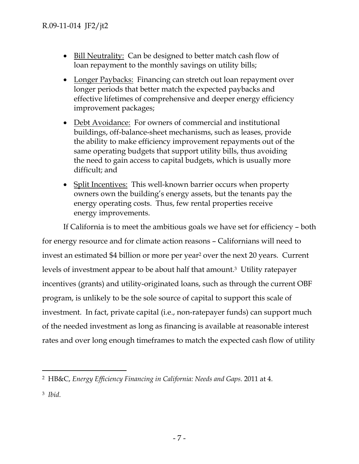- Bill Neutrality: Can be designed to better match cash flow of loan repayment to the monthly savings on utility bills;
- Longer Paybacks: Financing can stretch out loan repayment over longer periods that better match the expected paybacks and effective lifetimes of comprehensive and deeper energy efficiency improvement packages;
- Debt Avoidance: For owners of commercial and institutional buildings, off-balance-sheet mechanisms, such as leases, provide the ability to make efficiency improvement repayments out of the same operating budgets that support utility bills, thus avoiding the need to gain access to capital budgets, which is usually more difficult; and
- Split Incentives: This well-known barrier occurs when property owners own the building's energy assets, but the tenants pay the energy operating costs. Thus, few rental properties receive energy improvements.

If California is to meet the ambitious goals we have set for efficiency – both for energy resource and for climate action reasons – Californians will need to invest an estimated \$4 billion or more per year<sup>2</sup> over the next 20 years. Current levels of investment appear to be about half that amount.3 Utility ratepayer incentives (grants) and utility-originated loans, such as through the current OBF program, is unlikely to be the sole source of capital to support this scale of investment. In fact, private capital (i.e., non-ratepayer funds) can support much of the needed investment as long as financing is available at reasonable interest rates and over long enough timeframes to match the expected cash flow of utility

3 *Ibid.*

 $\overline{a}$ 

<sup>2</sup> HB&C, *Energy Efficiency Financing in California: Needs and Gaps.* 2011 at 4.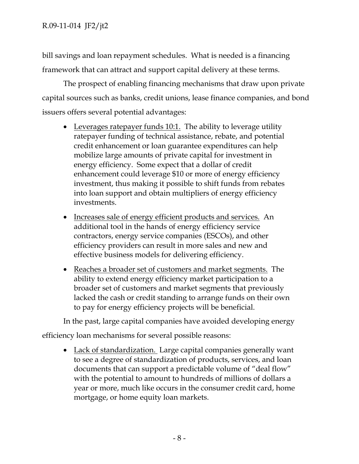bill savings and loan repayment schedules. What is needed is a financing framework that can attract and support capital delivery at these terms.

The prospect of enabling financing mechanisms that draw upon private capital sources such as banks, credit unions, lease finance companies, and bond issuers offers several potential advantages:

- Leverages ratepayer funds 10:1. The ability to leverage utility ratepayer funding of technical assistance, rebate, and potential credit enhancement or loan guarantee expenditures can help mobilize large amounts of private capital for investment in energy efficiency. Some expect that a dollar of credit enhancement could leverage \$10 or more of energy efficiency investment, thus making it possible to shift funds from rebates into loan support and obtain multipliers of energy efficiency investments.
- Increases sale of energy efficient products and services. An additional tool in the hands of energy efficiency service contractors, energy service companies (ESCOs), and other efficiency providers can result in more sales and new and effective business models for delivering efficiency.
- Reaches a broader set of customers and market segments. The ability to extend energy efficiency market participation to a broader set of customers and market segments that previously lacked the cash or credit standing to arrange funds on their own to pay for energy efficiency projects will be beneficial.

In the past, large capital companies have avoided developing energy

efficiency loan mechanisms for several possible reasons:

• Lack of standardization. Large capital companies generally want to see a degree of standardization of products, services, and loan documents that can support a predictable volume of "deal flow" with the potential to amount to hundreds of millions of dollars a year or more, much like occurs in the consumer credit card, home mortgage, or home equity loan markets.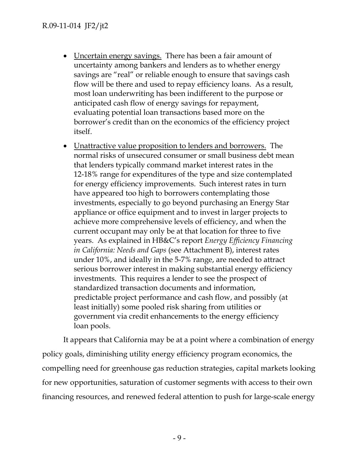- Uncertain energy savings. There has been a fair amount of uncertainty among bankers and lenders as to whether energy savings are "real" or reliable enough to ensure that savings cash flow will be there and used to repay efficiency loans. As a result, most loan underwriting has been indifferent to the purpose or anticipated cash flow of energy savings for repayment, evaluating potential loan transactions based more on the borrower's credit than on the economics of the efficiency project itself.
- Unattractive value proposition to lenders and borrowers. The normal risks of unsecured consumer or small business debt mean that lenders typically command market interest rates in the 12-18% range for expenditures of the type and size contemplated for energy efficiency improvements. Such interest rates in turn have appeared too high to borrowers contemplating those investments, especially to go beyond purchasing an Energy Star appliance or office equipment and to invest in larger projects to achieve more comprehensive levels of efficiency, and when the current occupant may only be at that location for three to five years. As explained in HB&C's report *Energy Efficiency Financing in California: Needs and Gaps* (see Attachment B), interest rates under 10%, and ideally in the 5-7% range, are needed to attract serious borrower interest in making substantial energy efficiency investments. This requires a lender to see the prospect of standardized transaction documents and information, predictable project performance and cash flow, and possibly (at least initially) some pooled risk sharing from utilities or government via credit enhancements to the energy efficiency loan pools.

It appears that California may be at a point where a combination of energy policy goals, diminishing utility energy efficiency program economics, the compelling need for greenhouse gas reduction strategies, capital markets looking for new opportunities, saturation of customer segments with access to their own financing resources, and renewed federal attention to push for large-scale energy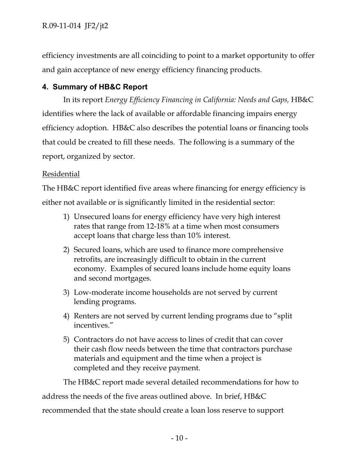efficiency investments are all coinciding to point to a market opportunity to offer and gain acceptance of new energy efficiency financing products.

# **4. Summary of HB&C Report**

In its report *Energy Efficiency Financing in California: Needs and Gaps,* HB&C identifies where the lack of available or affordable financing impairs energy efficiency adoption. HB&C also describes the potential loans or financing tools that could be created to fill these needs. The following is a summary of the report, organized by sector.

### Residential

The HB&C report identified five areas where financing for energy efficiency is either not available or is significantly limited in the residential sector:

- 1) Unsecured loans for energy efficiency have very high interest rates that range from 12-18% at a time when most consumers accept loans that charge less than 10% interest.
- 2) Secured loans, which are used to finance more comprehensive retrofits, are increasingly difficult to obtain in the current economy. Examples of secured loans include home equity loans and second mortgages.
- 3) Low-moderate income households are not served by current lending programs.
- 4) Renters are not served by current lending programs due to "split incentives."
- 5) Contractors do not have access to lines of credit that can cover their cash flow needs between the time that contractors purchase materials and equipment and the time when a project is completed and they receive payment.

The HB&C report made several detailed recommendations for how to

address the needs of the five areas outlined above. In brief, HB&C

recommended that the state should create a loan loss reserve to support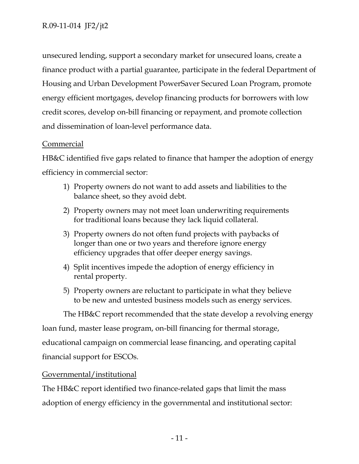unsecured lending, support a secondary market for unsecured loans, create a finance product with a partial guarantee, participate in the federal Department of Housing and Urban Development PowerSaver Secured Loan Program, promote energy efficient mortgages, develop financing products for borrowers with low credit scores, develop on-bill financing or repayment, and promote collection and dissemination of loan-level performance data.

### **Commercial**

HB&C identified five gaps related to finance that hamper the adoption of energy efficiency in commercial sector:

- 1) Property owners do not want to add assets and liabilities to the balance sheet, so they avoid debt.
- 2) Property owners may not meet loan underwriting requirements for traditional loans because they lack liquid collateral.
- 3) Property owners do not often fund projects with paybacks of longer than one or two years and therefore ignore energy efficiency upgrades that offer deeper energy savings.
- 4) Split incentives impede the adoption of energy efficiency in rental property.
- 5) Property owners are reluctant to participate in what they believe to be new and untested business models such as energy services.

The HB&C report recommended that the state develop a revolving energy

loan fund, master lease program, on-bill financing for thermal storage,

educational campaign on commercial lease financing, and operating capital financial support for ESCOs.

### Governmental/institutional

The HB&C report identified two finance-related gaps that limit the mass adoption of energy efficiency in the governmental and institutional sector: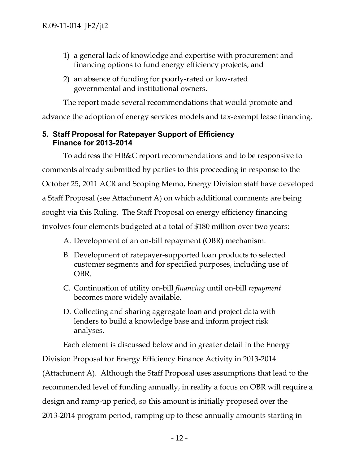- 1) a general lack of knowledge and expertise with procurement and financing options to fund energy efficiency projects; and
- 2) an absence of funding for poorly-rated or low-rated governmental and institutional owners.

The report made several recommendations that would promote and

advance the adoption of energy services models and tax-exempt lease financing.

### **5. Staff Proposal for Ratepayer Support of Efficiency Finance for 2013-2014**

To address the HB&C report recommendations and to be responsive to comments already submitted by parties to this proceeding in response to the October 25, 2011 ACR and Scoping Memo, Energy Division staff have developed a Staff Proposal (see Attachment A) on which additional comments are being sought via this Ruling. The Staff Proposal on energy efficiency financing involves four elements budgeted at a total of \$180 million over two years:

- A. Development of an on-bill repayment (OBR) mechanism.
- B. Development of ratepayer-supported loan products to selected customer segments and for specified purposes, including use of OBR.
- C. Continuation of utility on-bill *financing* until on-bill *repayment* becomes more widely available.
- D. Collecting and sharing aggregate loan and project data with lenders to build a knowledge base and inform project risk analyses.

Each element is discussed below and in greater detail in the Energy Division Proposal for Energy Efficiency Finance Activity in 2013-2014

(Attachment A). Although the Staff Proposal uses assumptions that lead to the recommended level of funding annually, in reality a focus on OBR will require a design and ramp-up period, so this amount is initially proposed over the 2013-2014 program period, ramping up to these annually amounts starting in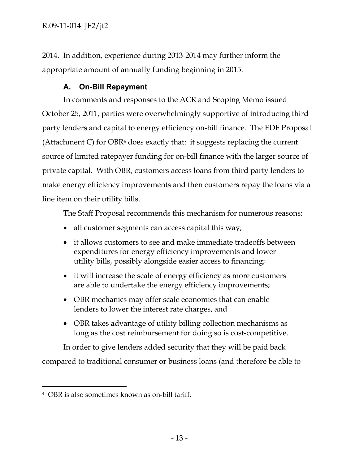2014. In addition, experience during 2013-2014 may further inform the appropriate amount of annually funding beginning in 2015.

# **A. On-Bill Repayment**

In comments and responses to the ACR and Scoping Memo issued October 25, 2011, parties were overwhelmingly supportive of introducing third party lenders and capital to energy efficiency on-bill finance. The EDF Proposal (Attachment C) for OBR4 does exactly that: it suggests replacing the current source of limited ratepayer funding for on-bill finance with the larger source of private capital. With OBR, customers access loans from third party lenders to make energy efficiency improvements and then customers repay the loans via a line item on their utility bills.

The Staff Proposal recommends this mechanism for numerous reasons:

- all customer segments can access capital this way;
- it allows customers to see and make immediate tradeoffs between expenditures for energy efficiency improvements and lower utility bills, possibly alongside easier access to financing;
- it will increase the scale of energy efficiency as more customers are able to undertake the energy efficiency improvements;
- OBR mechanics may offer scale economies that can enable lenders to lower the interest rate charges, and
- OBR takes advantage of utility billing collection mechanisms as long as the cost reimbursement for doing so is cost-competitive.

In order to give lenders added security that they will be paid back compared to traditional consumer or business loans (and therefore be able to

 $\overline{a}$ 

<sup>4</sup> OBR is also sometimes known as on-bill tariff.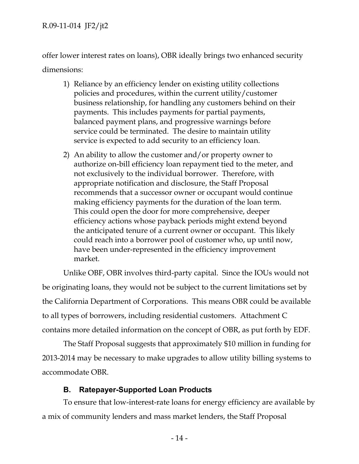R.09-11-014 JF2/jt2

offer lower interest rates on loans), OBR ideally brings two enhanced security dimensions:

- 1) Reliance by an efficiency lender on existing utility collections policies and procedures, within the current utility/customer business relationship, for handling any customers behind on their payments. This includes payments for partial payments, balanced payment plans, and progressive warnings before service could be terminated. The desire to maintain utility service is expected to add security to an efficiency loan.
- 2) An ability to allow the customer and/or property owner to authorize on-bill efficiency loan repayment tied to the meter, and not exclusively to the individual borrower. Therefore, with appropriate notification and disclosure, the Staff Proposal recommends that a successor owner or occupant would continue making efficiency payments for the duration of the loan term. This could open the door for more comprehensive, deeper efficiency actions whose payback periods might extend beyond the anticipated tenure of a current owner or occupant. This likely could reach into a borrower pool of customer who, up until now, have been under-represented in the efficiency improvement market.

Unlike OBF, OBR involves third-party capital. Since the IOUs would not be originating loans, they would not be subject to the current limitations set by the California Department of Corporations. This means OBR could be available to all types of borrowers, including residential customers. Attachment C contains more detailed information on the concept of OBR, as put forth by EDF.

The Staff Proposal suggests that approximately \$10 million in funding for 2013-2014 may be necessary to make upgrades to allow utility billing systems to accommodate OBR.

### **B. Ratepayer-Supported Loan Products**

To ensure that low-interest-rate loans for energy efficiency are available by a mix of community lenders and mass market lenders, the Staff Proposal

- 14 -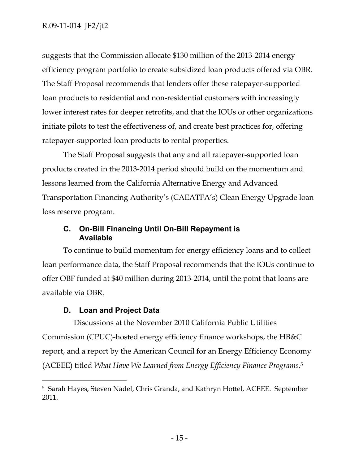suggests that the Commission allocate \$130 million of the 2013-2014 energy efficiency program portfolio to create subsidized loan products offered via OBR. The Staff Proposal recommends that lenders offer these ratepayer-supported loan products to residential and non-residential customers with increasingly lower interest rates for deeper retrofits, and that the IOUs or other organizations initiate pilots to test the effectiveness of, and create best practices for, offering ratepayer-supported loan products to rental properties.

The Staff Proposal suggests that any and all ratepayer-supported loan products created in the 2013-2014 period should build on the momentum and lessons learned from the California Alternative Energy and Advanced Transportation Financing Authority's (CAEATFA's) Clean Energy Upgrade loan loss reserve program.

### **C. On-Bill Financing Until On-Bill Repayment is Available**

To continue to build momentum for energy efficiency loans and to collect loan performance data, the Staff Proposal recommends that the IOUs continue to offer OBF funded at \$40 million during 2013-2014, until the point that loans are available via OBR.

# **D. Loan and Project Data**

-

Discussions at the November 2010 California Public Utilities Commission (CPUC)-hosted energy efficiency finance workshops, the HB&C report, and a report by the American Council for an Energy Efficiency Economy (ACEEE) titled *What Have We Learned from Energy Efficiency Finance Programs*,5

<sup>5</sup> Sarah Hayes, Steven Nadel, Chris Granda, and Kathryn Hottel, ACEEE. September 2011.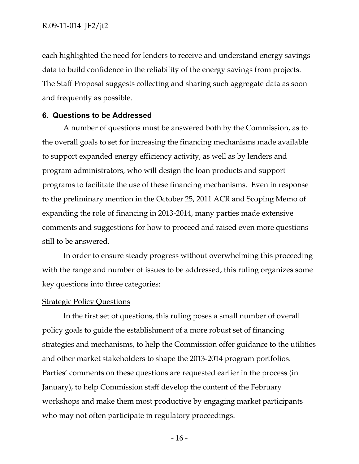each highlighted the need for lenders to receive and understand energy savings data to build confidence in the reliability of the energy savings from projects. The Staff Proposal suggests collecting and sharing such aggregate data as soon and frequently as possible.

### **6. Questions to be Addressed**

A number of questions must be answered both by the Commission, as to the overall goals to set for increasing the financing mechanisms made available to support expanded energy efficiency activity, as well as by lenders and program administrators, who will design the loan products and support programs to facilitate the use of these financing mechanisms. Even in response to the preliminary mention in the October 25, 2011 ACR and Scoping Memo of expanding the role of financing in 2013-2014, many parties made extensive comments and suggestions for how to proceed and raised even more questions still to be answered.

In order to ensure steady progress without overwhelming this proceeding with the range and number of issues to be addressed, this ruling organizes some key questions into three categories:

#### **Strategic Policy Questions**

In the first set of questions, this ruling poses a small number of overall policy goals to guide the establishment of a more robust set of financing strategies and mechanisms, to help the Commission offer guidance to the utilities and other market stakeholders to shape the 2013-2014 program portfolios. Parties' comments on these questions are requested earlier in the process (in January), to help Commission staff develop the content of the February workshops and make them most productive by engaging market participants who may not often participate in regulatory proceedings.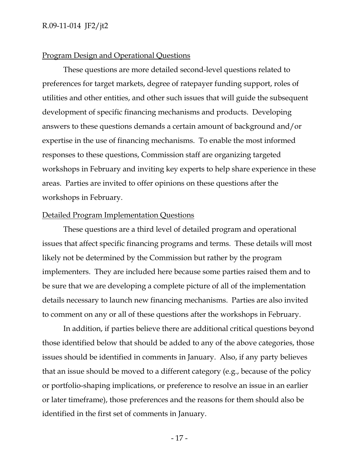### R.09-11-014 JF2/jt2

### Program Design and Operational Questions

These questions are more detailed second-level questions related to preferences for target markets, degree of ratepayer funding support, roles of utilities and other entities, and other such issues that will guide the subsequent development of specific financing mechanisms and products. Developing answers to these questions demands a certain amount of background and/or expertise in the use of financing mechanisms. To enable the most informed responses to these questions, Commission staff are organizing targeted workshops in February and inviting key experts to help share experience in these areas. Parties are invited to offer opinions on these questions after the workshops in February.

#### Detailed Program Implementation Questions

These questions are a third level of detailed program and operational issues that affect specific financing programs and terms. These details will most likely not be determined by the Commission but rather by the program implementers. They are included here because some parties raised them and to be sure that we are developing a complete picture of all of the implementation details necessary to launch new financing mechanisms. Parties are also invited to comment on any or all of these questions after the workshops in February.

In addition, if parties believe there are additional critical questions beyond those identified below that should be added to any of the above categories, those issues should be identified in comments in January. Also, if any party believes that an issue should be moved to a different category (e.g., because of the policy or portfolio-shaping implications, or preference to resolve an issue in an earlier or later timeframe), those preferences and the reasons for them should also be identified in the first set of comments in January.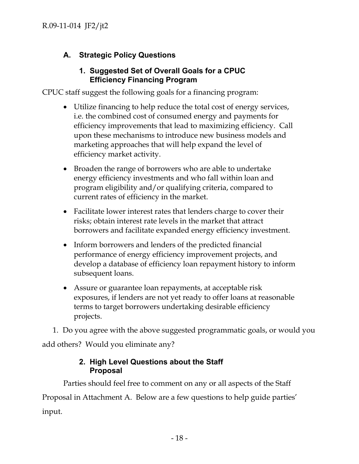# **A. Strategic Policy Questions**

## **1. Suggested Set of Overall Goals for a CPUC Efficiency Financing Program**

CPUC staff suggest the following goals for a financing program:

- Utilize financing to help reduce the total cost of energy services, i.e. the combined cost of consumed energy and payments for efficiency improvements that lead to maximizing efficiency. Call upon these mechanisms to introduce new business models and marketing approaches that will help expand the level of efficiency market activity.
- Broaden the range of borrowers who are able to undertake energy efficiency investments and who fall within loan and program eligibility and/or qualifying criteria, compared to current rates of efficiency in the market.
- Facilitate lower interest rates that lenders charge to cover their risks; obtain interest rate levels in the market that attract borrowers and facilitate expanded energy efficiency investment.
- Inform borrowers and lenders of the predicted financial performance of energy efficiency improvement projects, and develop a database of efficiency loan repayment history to inform subsequent loans.
- Assure or guarantee loan repayments, at acceptable risk exposures, if lenders are not yet ready to offer loans at reasonable terms to target borrowers undertaking desirable efficiency projects.

1. Do you agree with the above suggested programmatic goals, or would you add others? Would you eliminate any?

# **2. High Level Questions about the Staff Proposal**

Parties should feel free to comment on any or all aspects of the Staff Proposal in Attachment A. Below are a few questions to help guide parties' input.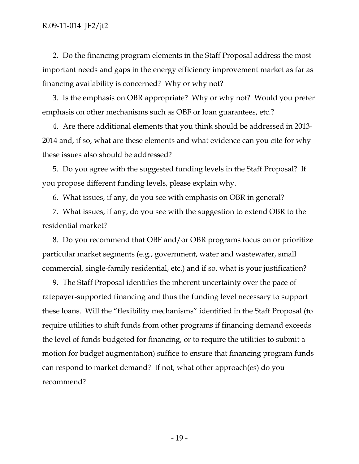2. Do the financing program elements in the Staff Proposal address the most important needs and gaps in the energy efficiency improvement market as far as financing availability is concerned? Why or why not?

3. Is the emphasis on OBR appropriate? Why or why not? Would you prefer emphasis on other mechanisms such as OBF or loan guarantees, etc.?

4. Are there additional elements that you think should be addressed in 2013- 2014 and, if so, what are these elements and what evidence can you cite for why these issues also should be addressed?

5. Do you agree with the suggested funding levels in the Staff Proposal? If you propose different funding levels, please explain why.

6. What issues, if any, do you see with emphasis on OBR in general?

7. What issues, if any, do you see with the suggestion to extend OBR to the residential market?

8. Do you recommend that OBF and/or OBR programs focus on or prioritize particular market segments (e.g., government, water and wastewater, small commercial, single-family residential, etc.) and if so, what is your justification?

9. The Staff Proposal identifies the inherent uncertainty over the pace of ratepayer-supported financing and thus the funding level necessary to support these loans. Will the "flexibility mechanisms" identified in the Staff Proposal (to require utilities to shift funds from other programs if financing demand exceeds the level of funds budgeted for financing, or to require the utilities to submit a motion for budget augmentation) suffice to ensure that financing program funds can respond to market demand? If not, what other approach(es) do you recommend?

- 19 -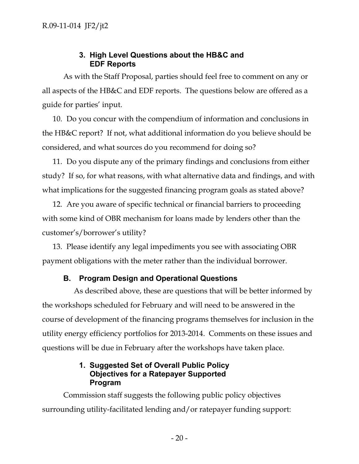### **3. High Level Questions about the HB&C and EDF Reports**

As with the Staff Proposal, parties should feel free to comment on any or all aspects of the HB&C and EDF reports. The questions below are offered as a guide for parties' input.

10. Do you concur with the compendium of information and conclusions in the HB&C report? If not, what additional information do you believe should be considered, and what sources do you recommend for doing so?

11. Do you dispute any of the primary findings and conclusions from either study? If so, for what reasons, with what alternative data and findings, and with what implications for the suggested financing program goals as stated above?

12. Are you aware of specific technical or financial barriers to proceeding with some kind of OBR mechanism for loans made by lenders other than the customer's/borrower's utility?

13. Please identify any legal impediments you see with associating OBR payment obligations with the meter rather than the individual borrower.

### **B. Program Design and Operational Questions**

As described above, these are questions that will be better informed by the workshops scheduled for February and will need to be answered in the course of development of the financing programs themselves for inclusion in the utility energy efficiency portfolios for 2013-2014. Comments on these issues and questions will be due in February after the workshops have taken place.

### **1. Suggested Set of Overall Public Policy Objectives for a Ratepayer Supported Program**

Commission staff suggests the following public policy objectives surrounding utility-facilitated lending and/or ratepayer funding support: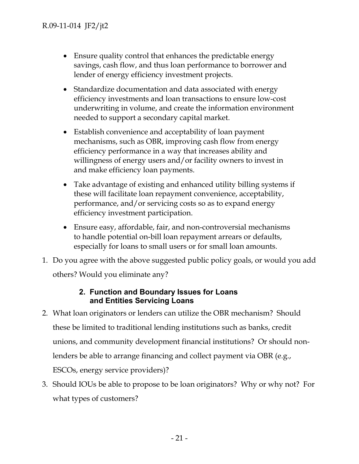- Ensure quality control that enhances the predictable energy savings, cash flow, and thus loan performance to borrower and lender of energy efficiency investment projects.
- Standardize documentation and data associated with energy efficiency investments and loan transactions to ensure low-cost underwriting in volume, and create the information environment needed to support a secondary capital market.
- Establish convenience and acceptability of loan payment mechanisms, such as OBR, improving cash flow from energy efficiency performance in a way that increases ability and willingness of energy users and/or facility owners to invest in and make efficiency loan payments.
- Take advantage of existing and enhanced utility billing systems if these will facilitate loan repayment convenience, acceptability, performance, and/or servicing costs so as to expand energy efficiency investment participation.
- Ensure easy, affordable, fair, and non-controversial mechanisms to handle potential on-bill loan repayment arrears or defaults, especially for loans to small users or for small loan amounts.
- 1. Do you agree with the above suggested public policy goals, or would you add others? Would you eliminate any?

### **2. Function and Boundary Issues for Loans and Entities Servicing Loans**

- 2. What loan originators or lenders can utilize the OBR mechanism? Should these be limited to traditional lending institutions such as banks, credit unions, and community development financial institutions? Or should nonlenders be able to arrange financing and collect payment via OBR (e.g., ESCOs, energy service providers)?
- 3. Should IOUs be able to propose to be loan originators? Why or why not? For what types of customers?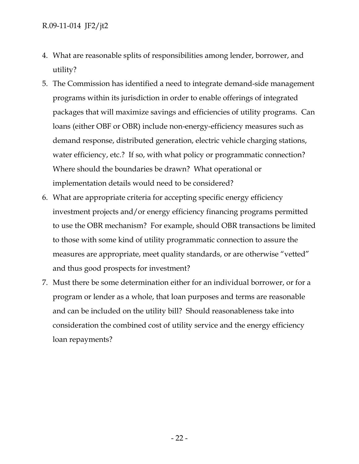- 4. What are reasonable splits of responsibilities among lender, borrower, and utility?
- 5. The Commission has identified a need to integrate demand-side management programs within its jurisdiction in order to enable offerings of integrated packages that will maximize savings and efficiencies of utility programs. Can loans (either OBF or OBR) include non-energy-efficiency measures such as demand response, distributed generation, electric vehicle charging stations, water efficiency, etc.? If so, with what policy or programmatic connection? Where should the boundaries be drawn? What operational or implementation details would need to be considered?
- 6. What are appropriate criteria for accepting specific energy efficiency investment projects and/or energy efficiency financing programs permitted to use the OBR mechanism? For example, should OBR transactions be limited to those with some kind of utility programmatic connection to assure the measures are appropriate, meet quality standards, or are otherwise "vetted" and thus good prospects for investment?
- 7. Must there be some determination either for an individual borrower, or for a program or lender as a whole, that loan purposes and terms are reasonable and can be included on the utility bill? Should reasonableness take into consideration the combined cost of utility service and the energy efficiency loan repayments?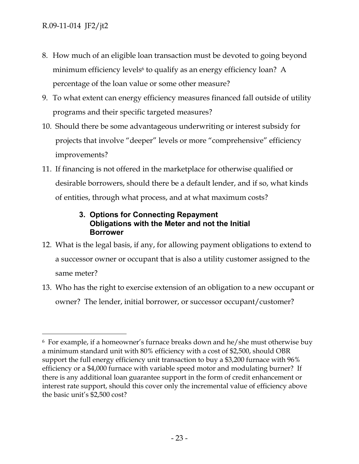$\overline{a}$ 

- 8. How much of an eligible loan transaction must be devoted to going beyond minimum efficiency levels<sup>6</sup> to qualify as an energy efficiency loan? A percentage of the loan value or some other measure?
- 9. To what extent can energy efficiency measures financed fall outside of utility programs and their specific targeted measures?
- 10. Should there be some advantageous underwriting or interest subsidy for projects that involve "deeper" levels or more "comprehensive" efficiency improvements?
- 11. If financing is not offered in the marketplace for otherwise qualified or desirable borrowers, should there be a default lender, and if so, what kinds of entities, through what process, and at what maximum costs?

### **3. Options for Connecting Repayment Obligations with the Meter and not the Initial Borrower**

- 12. What is the legal basis, if any, for allowing payment obligations to extend to a successor owner or occupant that is also a utility customer assigned to the same meter?
- 13. Who has the right to exercise extension of an obligation to a new occupant or owner? The lender, initial borrower, or successor occupant/customer?

<sup>6</sup> For example, if a homeowner's furnace breaks down and he/she must otherwise buy a minimum standard unit with 80% efficiency with a cost of \$2,500, should OBR support the full energy efficiency unit transaction to buy a \$3,200 furnace with 96% efficiency or a \$4,000 furnace with variable speed motor and modulating burner? If there is any additional loan guarantee support in the form of credit enhancement or interest rate support, should this cover only the incremental value of efficiency above the basic unit's \$2,500 cost?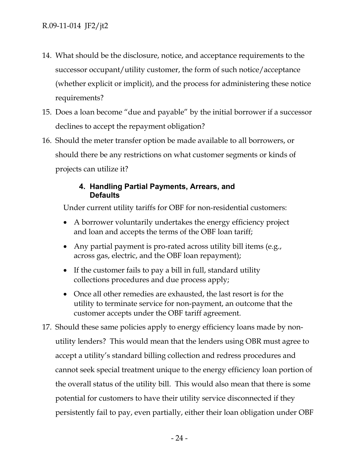- 14. What should be the disclosure, notice, and acceptance requirements to the successor occupant/utility customer, the form of such notice/acceptance (whether explicit or implicit), and the process for administering these notice requirements?
- 15. Does a loan become "due and payable" by the initial borrower if a successor declines to accept the repayment obligation?
- 16. Should the meter transfer option be made available to all borrowers, or should there be any restrictions on what customer segments or kinds of projects can utilize it?

### **4. Handling Partial Payments, Arrears, and Defaults**

Under current utility tariffs for OBF for non-residential customers:

- A borrower voluntarily undertakes the energy efficiency project and loan and accepts the terms of the OBF loan tariff;
- Any partial payment is pro-rated across utility bill items (e.g., across gas, electric, and the OBF loan repayment);
- If the customer fails to pay a bill in full, standard utility collections procedures and due process apply;
- Once all other remedies are exhausted, the last resort is for the utility to terminate service for non-payment, an outcome that the customer accepts under the OBF tariff agreement.
- 17. Should these same policies apply to energy efficiency loans made by nonutility lenders? This would mean that the lenders using OBR must agree to accept a utility's standard billing collection and redress procedures and cannot seek special treatment unique to the energy efficiency loan portion of the overall status of the utility bill. This would also mean that there is some potential for customers to have their utility service disconnected if they persistently fail to pay, even partially, either their loan obligation under OBF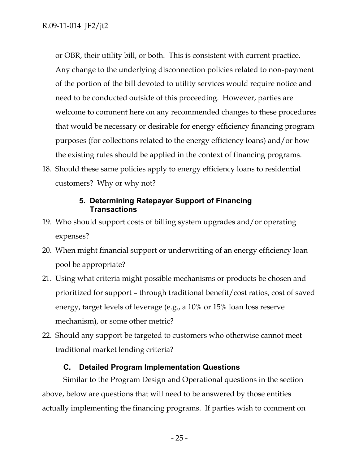R.09-11-014 JF2/jt2

or OBR, their utility bill, or both. This is consistent with current practice. Any change to the underlying disconnection policies related to non-payment of the portion of the bill devoted to utility services would require notice and need to be conducted outside of this proceeding. However, parties are welcome to comment here on any recommended changes to these procedures that would be necessary or desirable for energy efficiency financing program purposes (for collections related to the energy efficiency loans) and/or how the existing rules should be applied in the context of financing programs.

18. Should these same policies apply to energy efficiency loans to residential customers? Why or why not?

### **5. Determining Ratepayer Support of Financing Transactions**

- 19. Who should support costs of billing system upgrades and/or operating expenses?
- 20. When might financial support or underwriting of an energy efficiency loan pool be appropriate?
- 21. Using what criteria might possible mechanisms or products be chosen and prioritized for support – through traditional benefit/cost ratios, cost of saved energy, target levels of leverage (e.g., a 10% or 15% loan loss reserve mechanism), or some other metric?
- 22. Should any support be targeted to customers who otherwise cannot meet traditional market lending criteria?

### **C. Detailed Program Implementation Questions**

Similar to the Program Design and Operational questions in the section above, below are questions that will need to be answered by those entities actually implementing the financing programs. If parties wish to comment on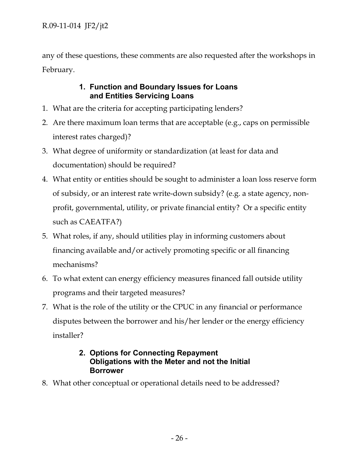any of these questions, these comments are also requested after the workshops in February.

### **1. Function and Boundary Issues for Loans and Entities Servicing Loans**

- 1. What are the criteria for accepting participating lenders?
- 2. Are there maximum loan terms that are acceptable (e.g., caps on permissible interest rates charged)?
- 3. What degree of uniformity or standardization (at least for data and documentation) should be required?
- 4. What entity or entities should be sought to administer a loan loss reserve form of subsidy, or an interest rate write-down subsidy? (e.g. a state agency, nonprofit, governmental, utility, or private financial entity? Or a specific entity such as CAEATFA?)
- 5. What roles, if any, should utilities play in informing customers about financing available and/or actively promoting specific or all financing mechanisms?
- 6. To what extent can energy efficiency measures financed fall outside utility programs and their targeted measures?
- 7. What is the role of the utility or the CPUC in any financial or performance disputes between the borrower and his/her lender or the energy efficiency installer?

## **2. Options for Connecting Repayment Obligations with the Meter and not the Initial Borrower**

8. What other conceptual or operational details need to be addressed?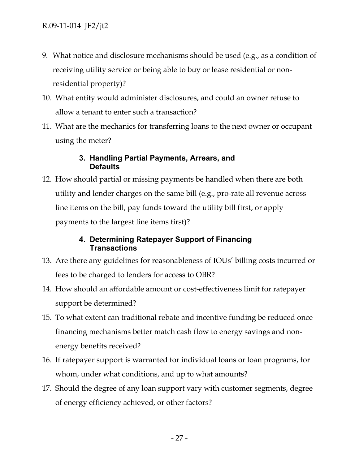- 9. What notice and disclosure mechanisms should be used (e.g., as a condition of receiving utility service or being able to buy or lease residential or nonresidential property)?
- 10. What entity would administer disclosures, and could an owner refuse to allow a tenant to enter such a transaction?
- 11. What are the mechanics for transferring loans to the next owner or occupant using the meter?

### **3. Handling Partial Payments, Arrears, and Defaults**

12. How should partial or missing payments be handled when there are both utility and lender charges on the same bill (e.g., pro-rate all revenue across line items on the bill, pay funds toward the utility bill first, or apply payments to the largest line items first)?

# **4. Determining Ratepayer Support of Financing Transactions**

- 13. Are there any guidelines for reasonableness of IOUs' billing costs incurred or fees to be charged to lenders for access to OBR?
- 14. How should an affordable amount or cost-effectiveness limit for ratepayer support be determined?
- 15. To what extent can traditional rebate and incentive funding be reduced once financing mechanisms better match cash flow to energy savings and nonenergy benefits received?
- 16. If ratepayer support is warranted for individual loans or loan programs, for whom, under what conditions, and up to what amounts?
- 17. Should the degree of any loan support vary with customer segments, degree of energy efficiency achieved, or other factors?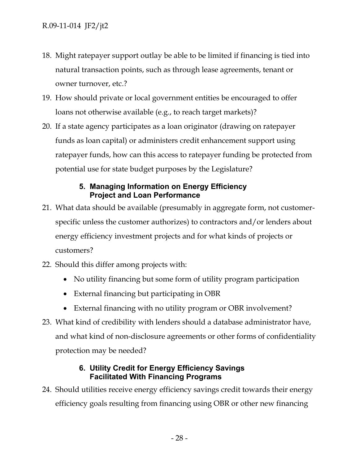- 18. Might ratepayer support outlay be able to be limited if financing is tied into natural transaction points, such as through lease agreements, tenant or owner turnover, etc.?
- 19. How should private or local government entities be encouraged to offer loans not otherwise available (e.g., to reach target markets)?
- 20. If a state agency participates as a loan originator (drawing on ratepayer funds as loan capital) or administers credit enhancement support using ratepayer funds, how can this access to ratepayer funding be protected from potential use for state budget purposes by the Legislature?

### **5. Managing Information on Energy Efficiency Project and Loan Performance**

- 21. What data should be available (presumably in aggregate form, not customerspecific unless the customer authorizes) to contractors and/or lenders about energy efficiency investment projects and for what kinds of projects or customers?
- 22. Should this differ among projects with:
	- No utility financing but some form of utility program participation
	- External financing but participating in OBR
	- External financing with no utility program or OBR involvement?
- 23. What kind of credibility with lenders should a database administrator have, and what kind of non-disclosure agreements or other forms of confidentiality protection may be needed?

### **6. Utility Credit for Energy Efficiency Savings Facilitated With Financing Programs**

24. Should utilities receive energy efficiency savings credit towards their energy efficiency goals resulting from financing using OBR or other new financing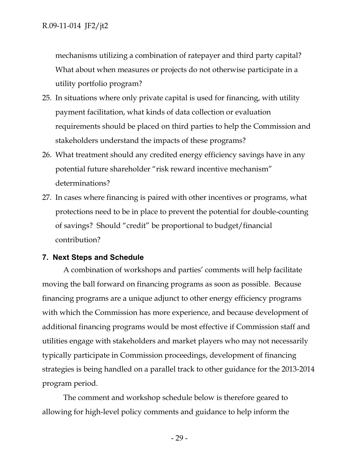mechanisms utilizing a combination of ratepayer and third party capital? What about when measures or projects do not otherwise participate in a utility portfolio program?

- 25. In situations where only private capital is used for financing, with utility payment facilitation, what kinds of data collection or evaluation requirements should be placed on third parties to help the Commission and stakeholders understand the impacts of these programs?
- 26. What treatment should any credited energy efficiency savings have in any potential future shareholder "risk reward incentive mechanism" determinations?
- 27. In cases where financing is paired with other incentives or programs, what protections need to be in place to prevent the potential for double-counting of savings? Should "credit" be proportional to budget/financial contribution?

### **7. Next Steps and Schedule**

A combination of workshops and parties' comments will help facilitate moving the ball forward on financing programs as soon as possible. Because financing programs are a unique adjunct to other energy efficiency programs with which the Commission has more experience, and because development of additional financing programs would be most effective if Commission staff and utilities engage with stakeholders and market players who may not necessarily typically participate in Commission proceedings, development of financing strategies is being handled on a parallel track to other guidance for the 2013-2014 program period.

The comment and workshop schedule below is therefore geared to allowing for high-level policy comments and guidance to help inform the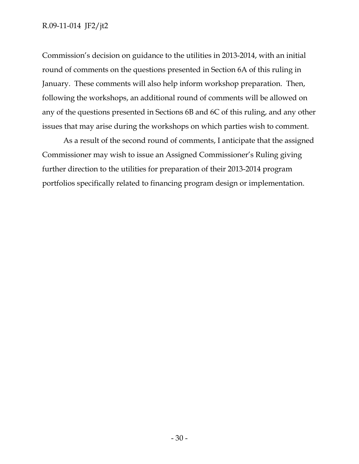### R.09-11-014 JF2/jt2

Commission's decision on guidance to the utilities in 2013-2014, with an initial round of comments on the questions presented in Section 6A of this ruling in January. These comments will also help inform workshop preparation. Then, following the workshops, an additional round of comments will be allowed on any of the questions presented in Sections 6B and 6C of this ruling, and any other issues that may arise during the workshops on which parties wish to comment.

As a result of the second round of comments, I anticipate that the assigned Commissioner may wish to issue an Assigned Commissioner's Ruling giving further direction to the utilities for preparation of their 2013-2014 program portfolios specifically related to financing program design or implementation.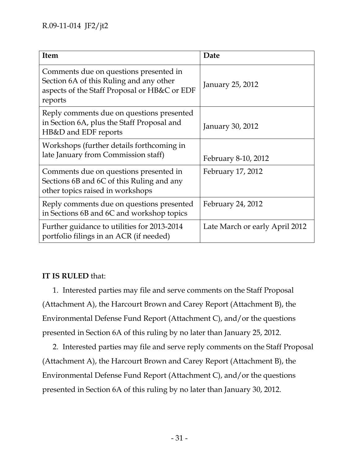| Item                                                                                                                                         | Date                           |
|----------------------------------------------------------------------------------------------------------------------------------------------|--------------------------------|
| Comments due on questions presented in<br>Section 6A of this Ruling and any other<br>aspects of the Staff Proposal or HB&C or EDF<br>reports | January 25, 2012               |
| Reply comments due on questions presented<br>in Section 6A, plus the Staff Proposal and<br>HB&D and EDF reports                              | January 30, 2012               |
| Workshops (further details forthcoming in<br>late January from Commission staff)                                                             | February 8-10, 2012            |
| Comments due on questions presented in<br>Sections 6B and 6C of this Ruling and any<br>other topics raised in workshops                      | February 17, 2012              |
| Reply comments due on questions presented<br>in Sections 6B and 6C and workshop topics                                                       | February 24, 2012              |
| Further guidance to utilities for 2013-2014<br>portfolio filings in an ACR (if needed)                                                       | Late March or early April 2012 |

# **IT IS RULED** that:

1. Interested parties may file and serve comments on the Staff Proposal (Attachment A), the Harcourt Brown and Carey Report (Attachment B), the Environmental Defense Fund Report (Attachment C), and/or the questions presented in Section 6A of this ruling by no later than January 25, 2012.

2. Interested parties may file and serve reply comments on the Staff Proposal (Attachment A), the Harcourt Brown and Carey Report (Attachment B), the Environmental Defense Fund Report (Attachment C), and/or the questions presented in Section 6A of this ruling by no later than January 30, 2012.